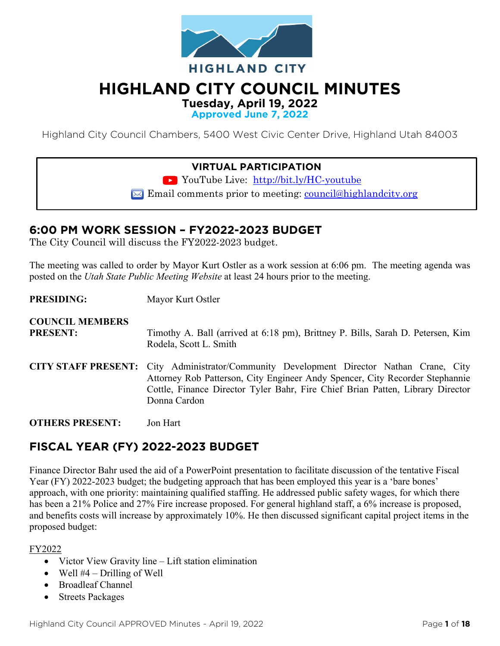

# **HIGHLAND CITY COUNCIL MINUTES**

**Tuesday, April 19, 2022**

**Approved June 7, 2022**

Highland City Council Chambers, 5400 West Civic Center Drive, Highland Utah 84003

### **VIRTUAL PARTICIPATION**

YouTube Live: <http://bit.ly/HC-youtube>

 $\boxtimes$  Email comments prior to meeting: council@highlandcity.org

## **6:00 PM WORK SESSION – FY2022-2023 BUDGET**

The City Council will discuss the FY2022-2023 budget.

The meeting was called to order by Mayor Kurt Ostler as a work session at 6:06 pm. The meeting agenda was posted on the *Utah State Public Meeting Website* at least 24 hours prior to the meeting.

**PRESIDING:** Mayor Kurt Ostler **COUNCIL MEMBERS PRESENT:** Timothy A. Ball (arrived at 6:18 pm), Brittney P. Bills, Sarah D. Petersen, Kim Rodela, Scott L. Smith **CITY STAFF PRESENT:** City Administrator/Community Development Director Nathan Crane, City Attorney Rob Patterson, City Engineer Andy Spencer, City Recorder Stephannie Cottle, Finance Director Tyler Bahr, Fire Chief Brian Patten, Library Director Donna Cardon

**OTHERS PRESENT:** Jon Hart

## **FISCAL YEAR (FY) 2022-2023 BUDGET**

Finance Director Bahr used the aid of a PowerPoint presentation to facilitate discussion of the tentative Fiscal Year (FY) 2022-2023 budget; the budgeting approach that has been employed this year is a 'bare bones' approach, with one priority: maintaining qualified staffing. He addressed public safety wages, for which there has been a 21% Police and 27% Fire increase proposed. For general highland staff, a 6% increase is proposed, and benefits costs will increase by approximately 10%. He then discussed significant capital project items in the proposed budget:

#### FY2022

- Victor View Gravity line Lift station elimination
- Well  $#4$  Drilling of Well
- Broadleaf Channel
- **Streets Packages**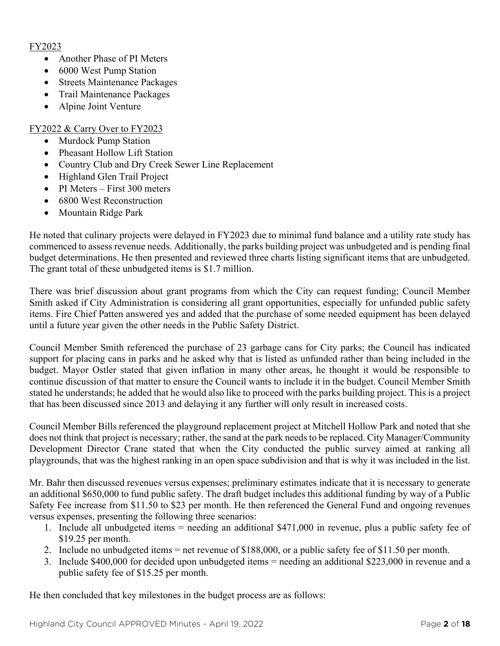#### FY2023

- Another Phase of PI Meters
- 6000 West Pump Station
- Streets Maintenance Packages
- Trail Maintenance Packages
- Alpine Joint Venture

#### FY2022 & Carry Over to FY2023

- Murdock Pump Station
- Pheasant Hollow Lift Station
- Country Club and Dry Creek Sewer Line Replacement
- Highland Glen Trail Project
- PI Meters First 300 meters
- 6800 West Reconstruction
- Mountain Ridge Park

He noted that culinary projects were delayed in FY2023 due to minimal fund balance and a utility rate study has commenced to assess revenue needs. Additionally, the parks building project was unbudgeted and is pending final budget determinations. He then presented and reviewed three charts listing significant items that are unbudgeted. The grant total of these unbudgeted items is \$1.7 million.

There was brief discussion about grant programs from which the City can request funding; Council Member Smith asked if City Administration is considering all grant opportunities, especially for unfunded public safety items. Fire Chief Patten answered yes and added that the purchase of some needed equipment has been delayed until a future year given the other needs in the Public Safety District.

Council Member Smith referenced the purchase of 23 garbage cans for City parks; the Council has indicated support for placing cans in parks and he asked why that is listed as unfunded rather than being included in the budget. Mayor Ostler stated that given inflation in many other areas, he thought it would be responsible to continue discussion of that matter to ensure the Council wants to include it in the budget. Council Member Smith stated he understands; he added that he would also like to proceed with the parks building project. This is a project that has been discussed since 2013 and delaying it any further will only result in increased costs.

Council Member Bills referenced the playground replacement project at Mitchell Hollow Park and noted that she does not think that project is necessary; rather, the sand at the park needs to be replaced. City Manager/Community Development Director Crane stated that when the City conducted the public survey aimed at ranking all playgrounds, that was the highest ranking in an open space subdivision and that is why it was included in the list.

Mr. Bahr then discussed revenues versus expenses; preliminary estimates indicate that it is necessary to generate an additional \$650,000 to fund public safety. The draft budget includes this additional funding by way of a Public Safety Fee increase from \$11.50 to \$23 per month. He then referenced the General Fund and ongoing revenues versus expenses, presenting the following three scenarios:

- 1. Include all unbudgeted items = needing an additional \$471,000 in revenue, plus a public safety fee of \$19.25 per month.
- 2. Include no unbudgeted items = net revenue of \$188,000, or a public safety fee of \$11.50 per month.
- 3. Include \$400,000 for decided upon unbudgeted items = needing an additional \$223,000 in revenue and a public safety fee of \$15.25 per month.

He then concluded that key milestones in the budget process are as follows: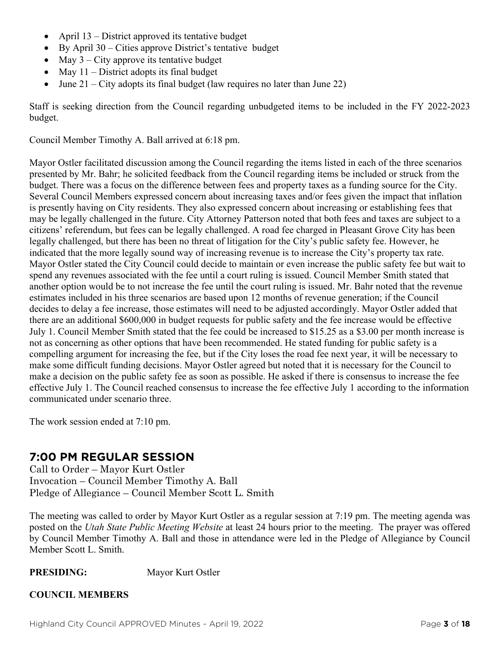- April 13 District approved its tentative budget
- By April 30 Cities approve District's tentative budget
- May  $3 City$  approve its tentative budget
- May  $11$  District adopts its final budget
- June  $21 City$  adopts its final budget (law requires no later than June 22)

Staff is seeking direction from the Council regarding unbudgeted items to be included in the FY 2022-2023 budget.

Council Member Timothy A. Ball arrived at 6:18 pm.

Mayor Ostler facilitated discussion among the Council regarding the items listed in each of the three scenarios presented by Mr. Bahr; he solicited feedback from the Council regarding items be included or struck from the budget. There was a focus on the difference between fees and property taxes as a funding source for the City. Several Council Members expressed concern about increasing taxes and/or fees given the impact that inflation is presently having on City residents. They also expressed concern about increasing or establishing fees that may be legally challenged in the future. City Attorney Patterson noted that both fees and taxes are subject to a citizens' referendum, but fees can be legally challenged. A road fee charged in Pleasant Grove City has been legally challenged, but there has been no threat of litigation for the City's public safety fee. However, he indicated that the more legally sound way of increasing revenue is to increase the City's property tax rate. Mayor Ostler stated the City Council could decide to maintain or even increase the public safety fee but wait to spend any revenues associated with the fee until a court ruling is issued. Council Member Smith stated that another option would be to not increase the fee until the court ruling is issued. Mr. Bahr noted that the revenue estimates included in his three scenarios are based upon 12 months of revenue generation; if the Council decides to delay a fee increase, those estimates will need to be adjusted accordingly. Mayor Ostler added that there are an additional \$600,000 in budget requests for public safety and the fee increase would be effective July 1. Council Member Smith stated that the fee could be increased to \$15.25 as a \$3.00 per month increase is not as concerning as other options that have been recommended. He stated funding for public safety is a compelling argument for increasing the fee, but if the City loses the road fee next year, it will be necessary to make some difficult funding decisions. Mayor Ostler agreed but noted that it is necessary for the Council to make a decision on the public safety fee as soon as possible. He asked if there is consensus to increase the fee effective July 1. The Council reached consensus to increase the fee effective July 1 according to the information communicated under scenario three.

The work session ended at 7:10 pm.

## **7:00 PM REGULAR SESSION**

Call to Order – Mayor Kurt Ostler Invocation – Council Member Timothy A. Ball Pledge of Allegiance – Council Member Scott L. Smith

The meeting was called to order by Mayor Kurt Ostler as a regular session at 7:19 pm. The meeting agenda was posted on the *Utah State Public Meeting Website* at least 24 hours prior to the meeting. The prayer was offered by Council Member Timothy A. Ball and those in attendance were led in the Pledge of Allegiance by Council Member Scott L. Smith.

#### PRESIDING: Mayor Kurt Ostler

#### **COUNCIL MEMBERS**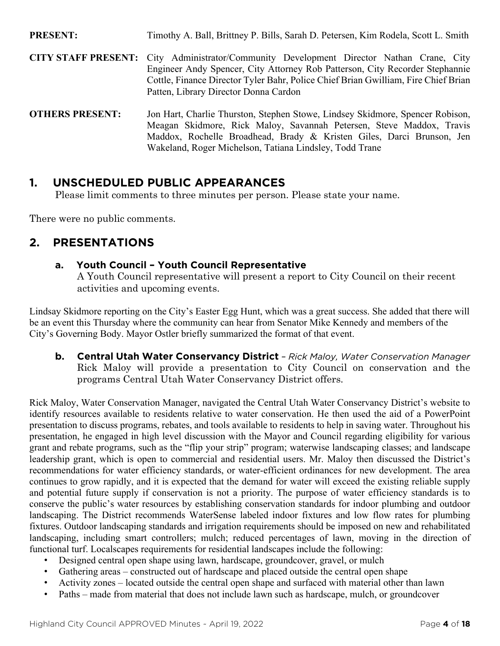**PRESENT:** Timothy A. Ball, Brittney P. Bills, Sarah D. Petersen, Kim Rodela, Scott L. Smith **CITY STAFF PRESENT:** City Administrator/Community Development Director Nathan Crane, City Engineer Andy Spencer, City Attorney Rob Patterson, City Recorder Stephannie Cottle, Finance Director Tyler Bahr, Police Chief Brian Gwilliam, Fire Chief Brian Patten, Library Director Donna Cardon **OTHERS PRESENT:** Jon Hart, Charlie Thurston, Stephen Stowe, Lindsey Skidmore, Spencer Robison,

Meagan Skidmore, Rick Maloy, Savannah Petersen, Steve Maddox, Travis Maddox, Rochelle Broadhead, Brady & Kristen Giles, Darci Brunson, Jen Wakeland, Roger Michelson, Tatiana Lindsley, Todd Trane

## **1. UNSCHEDULED PUBLIC APPEARANCES**

Please limit comments to three minutes per person. Please state your name.

There were no public comments.

## **2. PRESENTATIONS**

#### **a. Youth Council – Youth Council Representative**

A Youth Council representative will present a report to City Council on their recent activities and upcoming events.

Lindsay Skidmore reporting on the City's Easter Egg Hunt, which was a great success. She added that there will be an event this Thursday where the community can hear from Senator Mike Kennedy and members of the City's Governing Body. Mayor Ostler briefly summarized the format of that event.

**b. Central Utah Water Conservancy District** *– Rick Maloy, Water Conservation Manager* Rick Maloy will provide a presentation to City Council on conservation and the programs Central Utah Water Conservancy District offers.

Rick Maloy, Water Conservation Manager, navigated the Central Utah Water Conservancy District's website to identify resources available to residents relative to water conservation. He then used the aid of a PowerPoint presentation to discuss programs, rebates, and tools available to residents to help in saving water. Throughout his presentation, he engaged in high level discussion with the Mayor and Council regarding eligibility for various grant and rebate programs, such as the "flip your strip" program; waterwise landscaping classes; and landscape leadership grant, which is open to commercial and residential users. Mr. Maloy then discussed the District's recommendations for water efficiency standards, or water-efficient ordinances for new development. The area continues to grow rapidly, and it is expected that the demand for water will exceed the existing reliable supply and potential future supply if conservation is not a priority. The purpose of water efficiency standards is to conserve the public's water resources by establishing conservation standards for indoor plumbing and outdoor landscaping. The District recommends WaterSense labeled indoor fixtures and low flow rates for plumbing fixtures. Outdoor landscaping standards and irrigation requirements should be imposed on new and rehabilitated landscaping, including smart controllers; mulch; reduced percentages of lawn, moving in the direction of functional turf. Localscapes requirements for residential landscapes include the following:

- Designed central open shape using lawn, hardscape, groundcover, gravel, or mulch
- Gathering areas constructed out of hardscape and placed outside the central open shape
- Activity zones located outside the central open shape and surfaced with material other than lawn
- Paths made from material that does not include lawn such as hardscape, mulch, or groundcover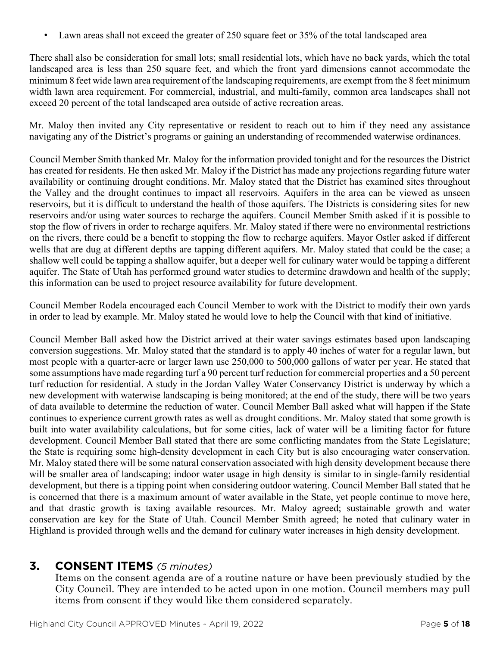• Lawn areas shall not exceed the greater of 250 square feet or 35% of the total landscaped area

There shall also be consideration for small lots; small residential lots, which have no back yards, which the total landscaped area is less than 250 square feet, and which the front yard dimensions cannot accommodate the minimum 8 feet wide lawn area requirement of the landscaping requirements, are exempt from the 8 feet minimum width lawn area requirement. For commercial, industrial, and multi-family, common area landscapes shall not exceed 20 percent of the total landscaped area outside of active recreation areas.

Mr. Maloy then invited any City representative or resident to reach out to him if they need any assistance navigating any of the District's programs or gaining an understanding of recommended waterwise ordinances.

Council Member Smith thanked Mr. Maloy for the information provided tonight and for the resources the District has created for residents. He then asked Mr. Maloy if the District has made any projections regarding future water availability or continuing drought conditions. Mr. Maloy stated that the District has examined sites throughout the Valley and the drought continues to impact all reservoirs. Aquifers in the area can be viewed as unseen reservoirs, but it is difficult to understand the health of those aquifers. The Districts is considering sites for new reservoirs and/or using water sources to recharge the aquifers. Council Member Smith asked if it is possible to stop the flow of rivers in order to recharge aquifers. Mr. Maloy stated if there were no environmental restrictions on the rivers, there could be a benefit to stopping the flow to recharge aquifers. Mayor Ostler asked if different wells that are dug at different depths are tapping different aquifers. Mr. Maloy stated that could be the case; a shallow well could be tapping a shallow aquifer, but a deeper well for culinary water would be tapping a different aquifer. The State of Utah has performed ground water studies to determine drawdown and health of the supply; this information can be used to project resource availability for future development.

Council Member Rodela encouraged each Council Member to work with the District to modify their own yards in order to lead by example. Mr. Maloy stated he would love to help the Council with that kind of initiative.

Council Member Ball asked how the District arrived at their water savings estimates based upon landscaping conversion suggestions. Mr. Maloy stated that the standard is to apply 40 inches of water for a regular lawn, but most people with a quarter-acre or larger lawn use 250,000 to 500,000 gallons of water per year. He stated that some assumptions have made regarding turf a 90 percent turf reduction for commercial properties and a 50 percent turf reduction for residential. A study in the Jordan Valley Water Conservancy District is underway by which a new development with waterwise landscaping is being monitored; at the end of the study, there will be two years of data available to determine the reduction of water. Council Member Ball asked what will happen if the State continues to experience current growth rates as well as drought conditions. Mr. Maloy stated that some growth is built into water availability calculations, but for some cities, lack of water will be a limiting factor for future development. Council Member Ball stated that there are some conflicting mandates from the State Legislature; the State is requiring some high-density development in each City but is also encouraging water conservation. Mr. Maloy stated there will be some natural conservation associated with high density development because there will be smaller area of landscaping; indoor water usage in high density is similar to in single-family residential development, but there is a tipping point when considering outdoor watering. Council Member Ball stated that he is concerned that there is a maximum amount of water available in the State, yet people continue to move here, and that drastic growth is taxing available resources. Mr. Maloy agreed; sustainable growth and water conservation are key for the State of Utah. Council Member Smith agreed; he noted that culinary water in Highland is provided through wells and the demand for culinary water increases in high density development.

#### **3. CONSENT ITEMS** *(5 minutes)*

Items on the consent agenda are of a routine nature or have been previously studied by the City Council. They are intended to be acted upon in one motion. Council members may pull items from consent if they would like them considered separately.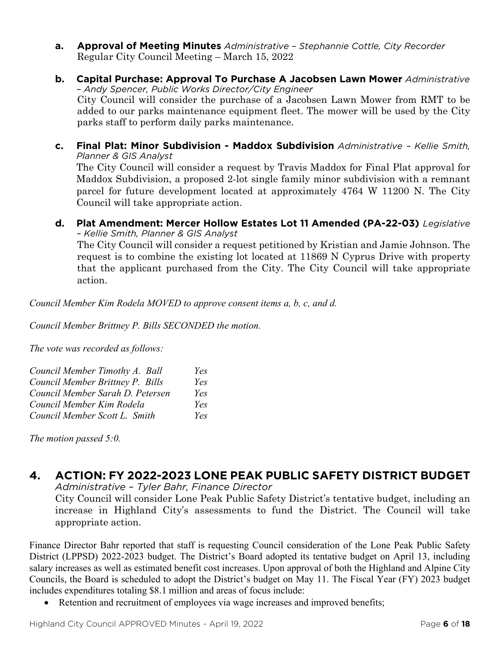- **a. Approval of Meeting Minutes** *Administrative – Stephannie Cottle, City Recorder* Regular City Council Meeting – March 15, 2022
- **b. Capital Purchase: Approval To Purchase A Jacobsen Lawn Mower** *Administrative – Andy Spencer, Public Works Director/City Engineer* City Council will consider the purchase of a Jacobsen Lawn Mower from RMT to be added to our parks maintenance equipment fleet. The mower will be used by the City parks staff to perform daily parks maintenance.
- **c. Final Plat: Minor Subdivision - Maddox Subdivision** *Administrative – Kellie Smith, Planner & GIS Analyst* The City Council will consider a request by Travis Maddox for Final Plat approval for Maddox Subdivision, a proposed 2-lot single family minor subdivision with a remnant parcel for future development located at approximately 4764 W 11200 N. The City Council will take appropriate action.
- **d. Plat Amendment: Mercer Hollow Estates Lot 11 Amended (PA-22-03)** *Legislative – Kellie Smith, Planner & GIS Analyst*

The City Council will consider a request petitioned by Kristian and Jamie Johnson. The request is to combine the existing lot located at 11869 N Cyprus Drive with property that the applicant purchased from the City. The City Council will take appropriate action.

*Council Member Kim Rodela MOVED to approve consent items a, b, c, and d.*

*Council Member Brittney P. Bills SECONDED the motion.*

*The vote was recorded as follows:*

| Council Member Timothy A. Ball   | Yes |
|----------------------------------|-----|
| Council Member Brittney P. Bills | Yes |
| Council Member Sarah D. Petersen | Yes |
| Council Member Kim Rodela        | Yes |
| Council Member Scott L. Smith    | Yes |

*The motion passed 5:0.*

## **4. ACTION: FY 2022-2023 LONE PEAK PUBLIC SAFETY DISTRICT BUDGET**

*Administrative – Tyler Bahr, Finance Director*

City Council will consider Lone Peak Public Safety District's tentative budget, including an increase in Highland City's assessments to fund the District. The Council will take appropriate action.

Finance Director Bahr reported that staff is requesting Council consideration of the Lone Peak Public Safety District (LPPSD) 2022-2023 budget. The District's Board adopted its tentative budget on April 13, including salary increases as well as estimated benefit cost increases. Upon approval of both the Highland and Alpine City Councils, the Board is scheduled to adopt the District's budget on May 11. The Fiscal Year (FY) 2023 budget includes expenditures totaling \$8.1 million and areas of focus include:

Retention and recruitment of employees via wage increases and improved benefits;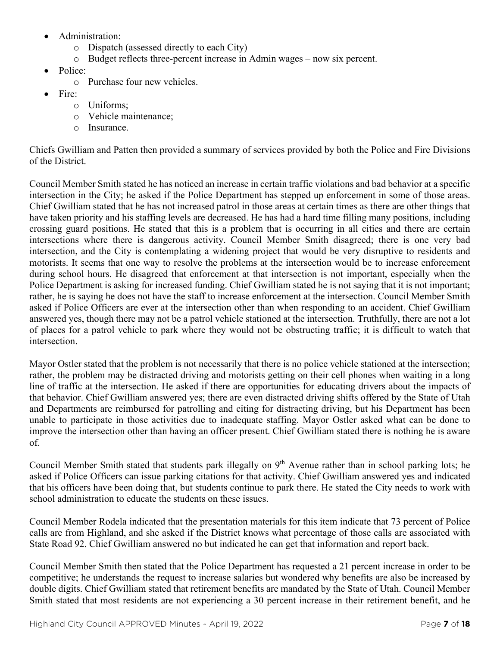- Administration:
	- o Dispatch (assessed directly to each City)
	- o Budget reflects three-percent increase in Admin wages now six percent.
- Police:
	- o Purchase four new vehicles.
- Fire:
	- o Uniforms;
	- o Vehicle maintenance;
	- o Insurance.

Chiefs Gwilliam and Patten then provided a summary of services provided by both the Police and Fire Divisions of the District.

Council Member Smith stated he has noticed an increase in certain traffic violations and bad behavior at a specific intersection in the City; he asked if the Police Department has stepped up enforcement in some of those areas. Chief Gwilliam stated that he has not increased patrol in those areas at certain times as there are other things that have taken priority and his staffing levels are decreased. He has had a hard time filling many positions, including crossing guard positions. He stated that this is a problem that is occurring in all cities and there are certain intersections where there is dangerous activity. Council Member Smith disagreed; there is one very bad intersection, and the City is contemplating a widening project that would be very disruptive to residents and motorists. It seems that one way to resolve the problems at the intersection would be to increase enforcement during school hours. He disagreed that enforcement at that intersection is not important, especially when the Police Department is asking for increased funding. Chief Gwilliam stated he is not saying that it is not important; rather, he is saying he does not have the staff to increase enforcement at the intersection. Council Member Smith asked if Police Officers are ever at the intersection other than when responding to an accident. Chief Gwilliam answered yes, though there may not be a patrol vehicle stationed at the intersection. Truthfully, there are not a lot of places for a patrol vehicle to park where they would not be obstructing traffic; it is difficult to watch that intersection.

Mayor Ostler stated that the problem is not necessarily that there is no police vehicle stationed at the intersection; rather, the problem may be distracted driving and motorists getting on their cell phones when waiting in a long line of traffic at the intersection. He asked if there are opportunities for educating drivers about the impacts of that behavior. Chief Gwilliam answered yes; there are even distracted driving shifts offered by the State of Utah and Departments are reimbursed for patrolling and citing for distracting driving, but his Department has been unable to participate in those activities due to inadequate staffing. Mayor Ostler asked what can be done to improve the intersection other than having an officer present. Chief Gwilliam stated there is nothing he is aware of.

Council Member Smith stated that students park illegally on 9<sup>th</sup> Avenue rather than in school parking lots; he asked if Police Officers can issue parking citations for that activity. Chief Gwilliam answered yes and indicated that his officers have been doing that, but students continue to park there. He stated the City needs to work with school administration to educate the students on these issues.

Council Member Rodela indicated that the presentation materials for this item indicate that 73 percent of Police calls are from Highland, and she asked if the District knows what percentage of those calls are associated with State Road 92. Chief Gwilliam answered no but indicated he can get that information and report back.

Council Member Smith then stated that the Police Department has requested a 21 percent increase in order to be competitive; he understands the request to increase salaries but wondered why benefits are also be increased by double digits. Chief Gwilliam stated that retirement benefits are mandated by the State of Utah. Council Member Smith stated that most residents are not experiencing a 30 percent increase in their retirement benefit, and he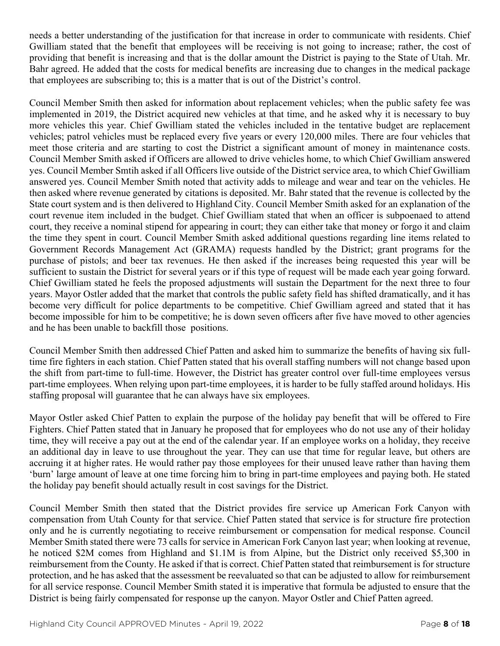needs a better understanding of the justification for that increase in order to communicate with residents. Chief Gwilliam stated that the benefit that employees will be receiving is not going to increase; rather, the cost of providing that benefit is increasing and that is the dollar amount the District is paying to the State of Utah. Mr. Bahr agreed. He added that the costs for medical benefits are increasing due to changes in the medical package that employees are subscribing to; this is a matter that is out of the District's control.

Council Member Smith then asked for information about replacement vehicles; when the public safety fee was implemented in 2019, the District acquired new vehicles at that time, and he asked why it is necessary to buy more vehicles this year. Chief Gwilliam stated the vehicles included in the tentative budget are replacement vehicles; patrol vehicles must be replaced every five years or every 120,000 miles. There are four vehicles that meet those criteria and are starting to cost the District a significant amount of money in maintenance costs. Council Member Smith asked if Officers are allowed to drive vehicles home, to which Chief Gwilliam answered yes. Council Member Smtih asked if all Officers live outside of the District service area, to which Chief Gwilliam answered yes. Council Member Smith noted that activity adds to mileage and wear and tear on the vehicles. He then asked where revenue generated by citations is deposited. Mr. Bahr stated that the revenue is collected by the State court system and is then delivered to Highland City. Council Member Smith asked for an explanation of the court revenue item included in the budget. Chief Gwilliam stated that when an officer is subpoenaed to attend court, they receive a nominal stipend for appearing in court; they can either take that money or forgo it and claim the time they spent in court. Council Member Smith asked additional questions regarding line items related to Government Records Management Act (GRAMA) requests handled by the District; grant programs for the purchase of pistols; and beer tax revenues. He then asked if the increases being requested this year will be sufficient to sustain the District for several years or if this type of request will be made each year going forward. Chief Gwilliam stated he feels the proposed adjustments will sustain the Department for the next three to four years. Mayor Ostler added that the market that controls the public safety field has shifted dramatically, and it has become very difficult for police departments to be competitive. Chief Gwilliam agreed and stated that it has become impossible for him to be competitive; he is down seven officers after five have moved to other agencies and he has been unable to backfill those positions.

Council Member Smith then addressed Chief Patten and asked him to summarize the benefits of having six fulltime fire fighters in each station. Chief Patten stated that his overall staffing numbers will not change based upon the shift from part-time to full-time. However, the District has greater control over full-time employees versus part-time employees. When relying upon part-time employees, it is harder to be fully staffed around holidays. His staffing proposal will guarantee that he can always have six employees.

Mayor Ostler asked Chief Patten to explain the purpose of the holiday pay benefit that will be offered to Fire Fighters. Chief Patten stated that in January he proposed that for employees who do not use any of their holiday time, they will receive a pay out at the end of the calendar year. If an employee works on a holiday, they receive an additional day in leave to use throughout the year. They can use that time for regular leave, but others are accruing it at higher rates. He would rather pay those employees for their unused leave rather than having them 'burn' large amount of leave at one time forcing him to bring in part-time employees and paying both. He stated the holiday pay benefit should actually result in cost savings for the District.

Council Member Smith then stated that the District provides fire service up American Fork Canyon with compensation from Utah County for that service. Chief Patten stated that service is for structure fire protection only and he is currently negotiating to receive reimbursement or compensation for medical response. Council Member Smith stated there were 73 calls for service in American Fork Canyon last year; when looking at revenue, he noticed \$2M comes from Highland and \$1.1M is from Alpine, but the District only received \$5,300 in reimbursement from the County. He asked if that is correct. Chief Patten stated that reimbursement is for structure protection, and he has asked that the assessment be reevaluated so that can be adjusted to allow for reimbursement for all service response. Council Member Smith stated it is imperative that formula be adjusted to ensure that the District is being fairly compensated for response up the canyon. Mayor Ostler and Chief Patten agreed.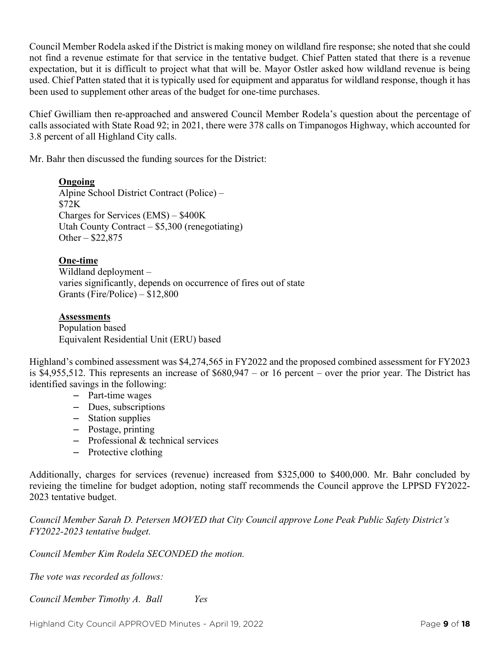Council Member Rodela asked if the District is making money on wildland fire response; she noted that she could not find a revenue estimate for that service in the tentative budget. Chief Patten stated that there is a revenue expectation, but it is difficult to project what that will be. Mayor Ostler asked how wildland revenue is being used. Chief Patten stated that it is typically used for equipment and apparatus for wildland response, though it has been used to supplement other areas of the budget for one-time purchases.

Chief Gwilliam then re-approached and answered Council Member Rodela's question about the percentage of calls associated with State Road 92; in 2021, there were 378 calls on Timpanogos Highway, which accounted for 3.8 percent of all Highland City calls.

Mr. Bahr then discussed the funding sources for the District:

#### **Ongoing**

Alpine School District Contract (Police) – \$72K Charges for Services (EMS) – \$400K Utah County Contract – \$5,300 (renegotiating) Other – \$22,875

#### **One-time**

Wildland deployment – varies significantly, depends on occurrence of fires out of state Grants (Fire/Police) – \$12,800

#### **Assessments**

Population based Equivalent Residential Unit (ERU) based

Highland's combined assessment was \$4,274,565 in FY2022 and the proposed combined assessment for FY2023 is \$4,955,512. This represents an increase of \$680,947 – or 16 percent – over the prior year. The District has identified savings in the following:

- Part-time wages
- Dues, subscriptions
- Station supplies
- Postage, printing
- Professional & technical services
- Protective clothing

Additionally, charges for services (revenue) increased from \$325,000 to \$400,000. Mr. Bahr concluded by revieing the timeline for budget adoption, noting staff recommends the Council approve the LPPSD FY2022- 2023 tentative budget.

*Council Member Sarah D. Petersen MOVED that City Council approve Lone Peak Public Safety District's FY2022-2023 tentative budget.* 

*Council Member Kim Rodela SECONDED the motion.*

*The vote was recorded as follows:*

*Council Member Timothy A. Ball Yes*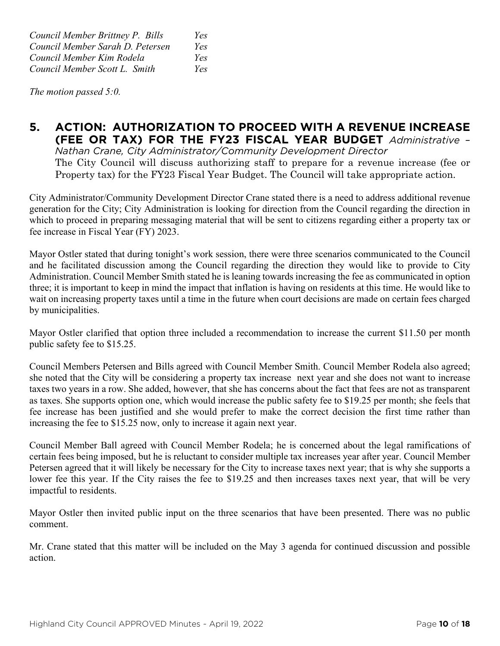*Council Member Brittney P. Bills Yes Council Member Sarah D. Petersen Yes Council Member Kim Rodela Yes Council Member Scott L. Smith Yes*

*The motion passed 5:0.*

## **5. ACTION: AUTHORIZATION TO PROCEED WITH A REVENUE INCREASE (FEE OR TAX) FOR THE FY23 FISCAL YEAR BUDGET** *Administrative –*

*Nathan Crane, City Administrator/Community Development Director* The City Council will discuss authorizing staff to prepare for a revenue increase (fee or Property tax) for the FY23 Fiscal Year Budget. The Council will take appropriate action.

City Administrator/Community Development Director Crane stated there is a need to address additional revenue generation for the City; City Administration is looking for direction from the Council regarding the direction in which to proceed in preparing messaging material that will be sent to citizens regarding either a property tax or fee increase in Fiscal Year (FY) 2023.

Mayor Ostler stated that during tonight's work session, there were three scenarios communicated to the Council and he facilitated discussion among the Council regarding the direction they would like to provide to City Administration. Council Member Smith stated he is leaning towards increasing the fee as communicated in option three; it is important to keep in mind the impact that inflation is having on residents at this time. He would like to wait on increasing property taxes until a time in the future when court decisions are made on certain fees charged by municipalities.

Mayor Ostler clarified that option three included a recommendation to increase the current \$11.50 per month public safety fee to \$15.25.

Council Members Petersen and Bills agreed with Council Member Smith. Council Member Rodela also agreed; she noted that the City will be considering a property tax increase next year and she does not want to increase taxes two years in a row. She added, however, that she has concerns about the fact that fees are not as transparent as taxes. She supports option one, which would increase the public safety fee to \$19.25 per month; she feels that fee increase has been justified and she would prefer to make the correct decision the first time rather than increasing the fee to \$15.25 now, only to increase it again next year.

Council Member Ball agreed with Council Member Rodela; he is concerned about the legal ramifications of certain fees being imposed, but he is reluctant to consider multiple tax increases year after year. Council Member Petersen agreed that it will likely be necessary for the City to increase taxes next year; that is why she supports a lower fee this year. If the City raises the fee to \$19.25 and then increases taxes next year, that will be very impactful to residents.

Mayor Ostler then invited public input on the three scenarios that have been presented. There was no public comment.

Mr. Crane stated that this matter will be included on the May 3 agenda for continued discussion and possible action.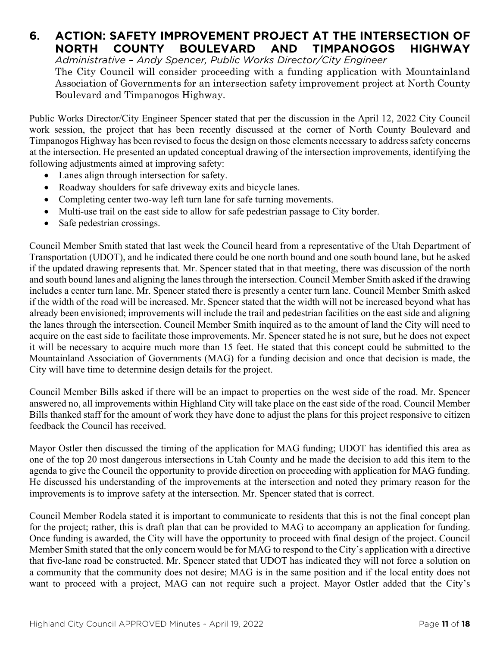## **6. ACTION: SAFETY IMPROVEMENT PROJECT AT THE INTERSECTION OF NORTH COUNTY BOULEVARD AND TIMPANOGOS HIGHWAY**

*Administrative – Andy Spencer, Public Works Director/City Engineer*

The City Council will consider proceeding with a funding application with Mountainland Association of Governments for an intersection safety improvement project at North County Boulevard and Timpanogos Highway.

Public Works Director/City Engineer Spencer stated that per the discussion in the April 12, 2022 City Council work session, the project that has been recently discussed at the corner of North County Boulevard and Timpanogos Highway has been revised to focus the design on those elements necessary to address safety concerns at the intersection. He presented an updated conceptual drawing of the intersection improvements, identifying the following adjustments aimed at improving safety:

- Lanes align through intersection for safety.
- Roadway shoulders for safe driveway exits and bicycle lanes.
- Completing center two-way left turn lane for safe turning movements.
- Multi-use trail on the east side to allow for safe pedestrian passage to City border.
- Safe pedestrian crossings.

Council Member Smith stated that last week the Council heard from a representative of the Utah Department of Transportation (UDOT), and he indicated there could be one north bound and one south bound lane, but he asked if the updated drawing represents that. Mr. Spencer stated that in that meeting, there was discussion of the north and south bound lanes and aligning the lanes through the intersection. Council Member Smith asked if the drawing includes a center turn lane. Mr. Spencer stated there is presently a center turn lane. Council Member Smith asked if the width of the road will be increased. Mr. Spencer stated that the width will not be increased beyond what has already been envisioned; improvements will include the trail and pedestrian facilities on the east side and aligning the lanes through the intersection. Council Member Smith inquired as to the amount of land the City will need to acquire on the east side to facilitate those improvements. Mr. Spencer stated he is not sure, but he does not expect it will be necessary to acquire much more than 15 feet. He stated that this concept could be submitted to the Mountainland Association of Governments (MAG) for a funding decision and once that decision is made, the City will have time to determine design details for the project.

Council Member Bills asked if there will be an impact to properties on the west side of the road. Mr. Spencer answered no, all improvements within Highland City will take place on the east side of the road. Council Member Bills thanked staff for the amount of work they have done to adjust the plans for this project responsive to citizen feedback the Council has received.

Mayor Ostler then discussed the timing of the application for MAG funding; UDOT has identified this area as one of the top 20 most dangerous intersections in Utah County and he made the decision to add this item to the agenda to give the Council the opportunity to provide direction on proceeding with application for MAG funding. He discussed his understanding of the improvements at the intersection and noted they primary reason for the improvements is to improve safety at the intersection. Mr. Spencer stated that is correct.

Council Member Rodela stated it is important to communicate to residents that this is not the final concept plan for the project; rather, this is draft plan that can be provided to MAG to accompany an application for funding. Once funding is awarded, the City will have the opportunity to proceed with final design of the project. Council Member Smith stated that the only concern would be for MAG to respond to the City's application with a directive that five-lane road be constructed. Mr. Spencer stated that UDOT has indicated they will not force a solution on a community that the community does not desire; MAG is in the same position and if the local entity does not want to proceed with a project, MAG can not require such a project. Mayor Ostler added that the City's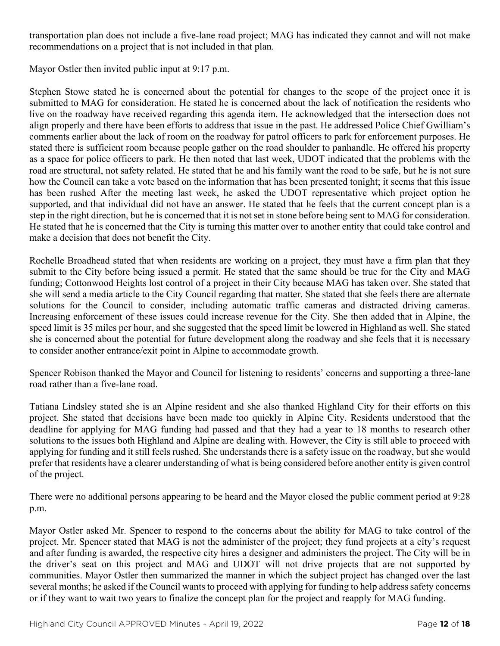transportation plan does not include a five-lane road project; MAG has indicated they cannot and will not make recommendations on a project that is not included in that plan.

Mayor Ostler then invited public input at 9:17 p.m.

Stephen Stowe stated he is concerned about the potential for changes to the scope of the project once it is submitted to MAG for consideration. He stated he is concerned about the lack of notification the residents who live on the roadway have received regarding this agenda item. He acknowledged that the intersection does not align properly and there have been efforts to address that issue in the past. He addressed Police Chief Gwilliam's comments earlier about the lack of room on the roadway for patrol officers to park for enforcement purposes. He stated there is sufficient room because people gather on the road shoulder to panhandle. He offered his property as a space for police officers to park. He then noted that last week, UDOT indicated that the problems with the road are structural, not safety related. He stated that he and his family want the road to be safe, but he is not sure how the Council can take a vote based on the information that has been presented tonight; it seems that this issue has been rushed After the meeting last week, he asked the UDOT representative which project option he supported, and that individual did not have an answer. He stated that he feels that the current concept plan is a step in the right direction, but he is concerned that it is not set in stone before being sent to MAG for consideration. He stated that he is concerned that the City is turning this matter over to another entity that could take control and make a decision that does not benefit the City.

Rochelle Broadhead stated that when residents are working on a project, they must have a firm plan that they submit to the City before being issued a permit. He stated that the same should be true for the City and MAG funding; Cottonwood Heights lost control of a project in their City because MAG has taken over. She stated that she will send a media article to the City Council regarding that matter. She stated that she feels there are alternate solutions for the Council to consider, including automatic traffic cameras and distracted driving cameras. Increasing enforcement of these issues could increase revenue for the City. She then added that in Alpine, the speed limit is 35 miles per hour, and she suggested that the speed limit be lowered in Highland as well. She stated she is concerned about the potential for future development along the roadway and she feels that it is necessary to consider another entrance/exit point in Alpine to accommodate growth.

Spencer Robison thanked the Mayor and Council for listening to residents' concerns and supporting a three-lane road rather than a five-lane road.

Tatiana Lindsley stated she is an Alpine resident and she also thanked Highland City for their efforts on this project. She stated that decisions have been made too quickly in Alpine City. Residents understood that the deadline for applying for MAG funding had passed and that they had a year to 18 months to research other solutions to the issues both Highland and Alpine are dealing with. However, the City is still able to proceed with applying for funding and it still feels rushed. She understands there is a safety issue on the roadway, but she would prefer that residents have a clearer understanding of what is being considered before another entity is given control of the project.

There were no additional persons appearing to be heard and the Mayor closed the public comment period at 9:28 p.m.

Mayor Ostler asked Mr. Spencer to respond to the concerns about the ability for MAG to take control of the project. Mr. Spencer stated that MAG is not the administer of the project; they fund projects at a city's request and after funding is awarded, the respective city hires a designer and administers the project. The City will be in the driver's seat on this project and MAG and UDOT will not drive projects that are not supported by communities. Mayor Ostler then summarized the manner in which the subject project has changed over the last several months; he asked if the Council wants to proceed with applying for funding to help address safety concerns or if they want to wait two years to finalize the concept plan for the project and reapply for MAG funding.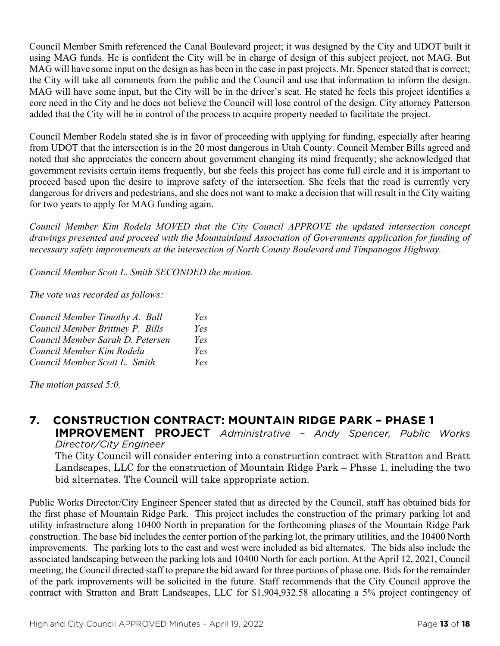Council Member Smith referenced the Canal Boulevard project; it was designed by the City and UDOT built it using MAG funds. He is confident the City will be in charge of design of this subject project, not MAG. But MAG will have some input on the design as has been in the case in past projects. Mr. Spencer stated that is correct; the City will take all comments from the public and the Council and use that information to inform the design. MAG will have some input, but the City will be in the driver's seat. He stated he feels this project identifies a core need in the City and he does not believe the Council will lose control of the design. City attorney Patterson added that the City will be in control of the process to acquire property needed to facilitate the project.

Council Member Rodela stated she is in favor of proceeding with applying for funding, especially after hearing from UDOT that the intersection is in the 20 most dangerous in Utah County. Council Member Bills agreed and noted that she appreciates the concern about government changing its mind frequently; she acknowledged that government revisits certain items frequently, but she feels this project has come full circle and it is important to proceed based upon the desire to improve safety of the intersection. She feels that the road is currently very dangerous for drivers and pedestrians, and she does not want to make a decision that will result in the City waiting for two years to apply for MAG funding again.

*Council Member Kim Rodela MOVED that the City Council APPROVE the updated intersection concept drawings presented and proceed with the Mountainland Association of Governments application for funding of necessary safety improvements at the intersection of North County Boulevard and Timpanogos Highway.*

*Council Member Scott L. Smith SECONDED the motion.*

*The vote was recorded as follows:*

| Council Member Timothy A. Ball   | Yes |
|----------------------------------|-----|
| Council Member Brittney P. Bills | Yes |
| Council Member Sarah D. Petersen | Yes |
| Council Member Kim Rodela        | Yes |
| Council Member Scott L. Smith    | Yes |

*The motion passed 5:0.*

## **7. CONSTRUCTION CONTRACT: MOUNTAIN RIDGE PARK – PHASE 1**

**IMPROVEMENT PROJECT** *Administrative – Andy Spencer, Public Works Director/City Engineer*

The City Council will consider entering into a construction contract with Stratton and Bratt Landscapes, LLC for the construction of Mountain Ridge Park – Phase 1, including the two bid alternates. The Council will take appropriate action.

Public Works Director/City Engineer Spencer stated that as directed by the Council, staff has obtained bids for the first phase of Mountain Ridge Park. This project includes the construction of the primary parking lot and utility infrastructure along 10400 North in preparation for the forthcoming phases of the Mountain Ridge Park construction. The base bid includes the center portion of the parking lot, the primary utilities, and the 10400 North improvements. The parking lots to the east and west were included as bid alternates. The bids also include the associated landscaping between the parking lots and 10400 North for each portion. At the April 12, 2021, Council meeting, the Council directed staff to prepare the bid award for three portions of phase one. Bids for the remainder of the park improvements will be solicited in the future. Staff recommends that the City Council approve the contract with Stratton and Bratt Landscapes, LLC for \$1,904,932.58 allocating a 5% project contingency of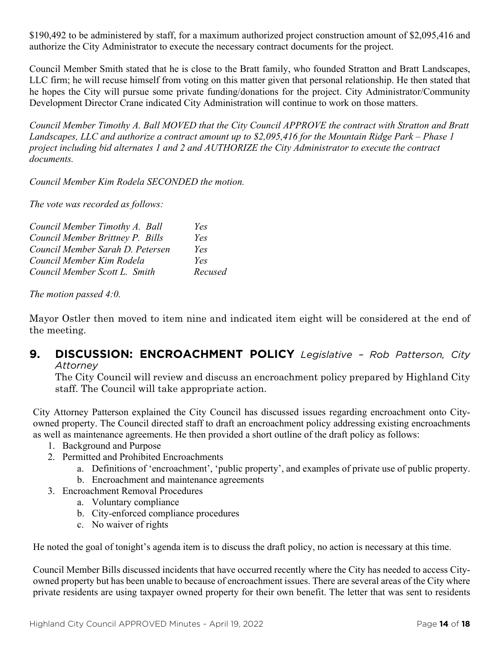\$190,492 to be administered by staff, for a maximum authorized project construction amount of \$2,095,416 and authorize the City Administrator to execute the necessary contract documents for the project.

Council Member Smith stated that he is close to the Bratt family, who founded Stratton and Bratt Landscapes, LLC firm; he will recuse himself from voting on this matter given that personal relationship. He then stated that he hopes the City will pursue some private funding/donations for the project. City Administrator/Community Development Director Crane indicated City Administration will continue to work on those matters.

*Council Member Timothy A. Ball MOVED that the City Council APPROVE the contract with Stratton and Bratt Landscapes, LLC and authorize a contract amount up to \$2,095,416 for the Mountain Ridge Park – Phase 1 project including bid alternates 1 and 2 and AUTHORIZE the City Administrator to execute the contract documents.*

*Council Member Kim Rodela SECONDED the motion.*

*The vote was recorded as follows:*

| Council Member Timothy A. Ball   | Yes     |
|----------------------------------|---------|
| Council Member Brittney P. Bills | Yes     |
| Council Member Sarah D. Petersen | Yes     |
| Council Member Kim Rodela        | Yes     |
| Council Member Scott L. Smith    | Recused |

*The motion passed 4:0.*

Mayor Ostler then moved to item nine and indicated item eight will be considered at the end of the meeting.

#### **9. DISCUSSION: ENCROACHMENT POLICY** *Legislative – Rob Patterson, City Attorney*

The City Council will review and discuss an encroachment policy prepared by Highland City staff. The Council will take appropriate action.

City Attorney Patterson explained the City Council has discussed issues regarding encroachment onto Cityowned property. The Council directed staff to draft an encroachment policy addressing existing encroachments as well as maintenance agreements. He then provided a short outline of the draft policy as follows:

- 1. Background and Purpose
- 2. Permitted and Prohibited Encroachments
	- a. Definitions of 'encroachment', 'public property', and examples of private use of public property.
	- b. Encroachment and maintenance agreements
- 3. Encroachment Removal Procedures
	- a. Voluntary compliance
	- b. City-enforced compliance procedures
	- c. No waiver of rights

He noted the goal of tonight's agenda item is to discuss the draft policy, no action is necessary at this time.

Council Member Bills discussed incidents that have occurred recently where the City has needed to access Cityowned property but has been unable to because of encroachment issues. There are several areas of the City where private residents are using taxpayer owned property for their own benefit. The letter that was sent to residents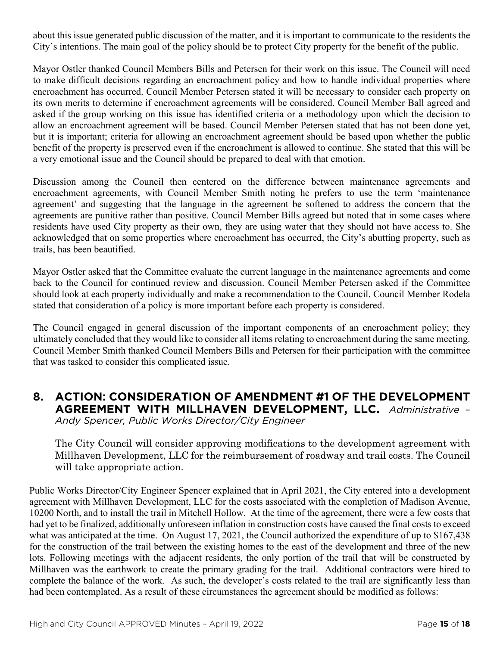about this issue generated public discussion of the matter, and it is important to communicate to the residents the City's intentions. The main goal of the policy should be to protect City property for the benefit of the public.

Mayor Ostler thanked Council Members Bills and Petersen for their work on this issue. The Council will need to make difficult decisions regarding an encroachment policy and how to handle individual properties where encroachment has occurred. Council Member Petersen stated it will be necessary to consider each property on its own merits to determine if encroachment agreements will be considered. Council Member Ball agreed and asked if the group working on this issue has identified criteria or a methodology upon which the decision to allow an encroachment agreement will be based. Council Member Petersen stated that has not been done yet, but it is important; criteria for allowing an encroachment agreement should be based upon whether the public benefit of the property is preserved even if the encroachment is allowed to continue. She stated that this will be a very emotional issue and the Council should be prepared to deal with that emotion.

Discussion among the Council then centered on the difference between maintenance agreements and encroachment agreements, with Council Member Smith noting he prefers to use the term 'maintenance agreement' and suggesting that the language in the agreement be softened to address the concern that the agreements are punitive rather than positive. Council Member Bills agreed but noted that in some cases where residents have used City property as their own, they are using water that they should not have access to. She acknowledged that on some properties where encroachment has occurred, the City's abutting property, such as trails, has been beautified.

Mayor Ostler asked that the Committee evaluate the current language in the maintenance agreements and come back to the Council for continued review and discussion. Council Member Petersen asked if the Committee should look at each property individually and make a recommendation to the Council. Council Member Rodela stated that consideration of a policy is more important before each property is considered.

The Council engaged in general discussion of the important components of an encroachment policy; they ultimately concluded that they would like to consider all items relating to encroachment during the same meeting. Council Member Smith thanked Council Members Bills and Petersen for their participation with the committee that was tasked to consider this complicated issue.

#### **8. ACTION: CONSIDERATION OF AMENDMENT #1 OF THE DEVELOPMENT AGREEMENT WITH MILLHAVEN DEVELOPMENT, LLC.** *Administrative – Andy Spencer, Public Works Director/City Engineer*

The City Council will consider approving modifications to the development agreement with Millhaven Development, LLC for the reimbursement of roadway and trail costs. The Council will take appropriate action.

Public Works Director/City Engineer Spencer explained that in April 2021, the City entered into a development agreement with Millhaven Development, LLC for the costs associated with the completion of Madison Avenue, 10200 North, and to install the trail in Mitchell Hollow. At the time of the agreement, there were a few costs that had yet to be finalized, additionally unforeseen inflation in construction costs have caused the final costs to exceed what was anticipated at the time. On August 17, 2021, the Council authorized the expenditure of up to \$167,438 for the construction of the trail between the existing homes to the east of the development and three of the new lots. Following meetings with the adjacent residents, the only portion of the trail that will be constructed by Millhaven was the earthwork to create the primary grading for the trail. Additional contractors were hired to complete the balance of the work. As such, the developer's costs related to the trail are significantly less than had been contemplated. As a result of these circumstances the agreement should be modified as follows: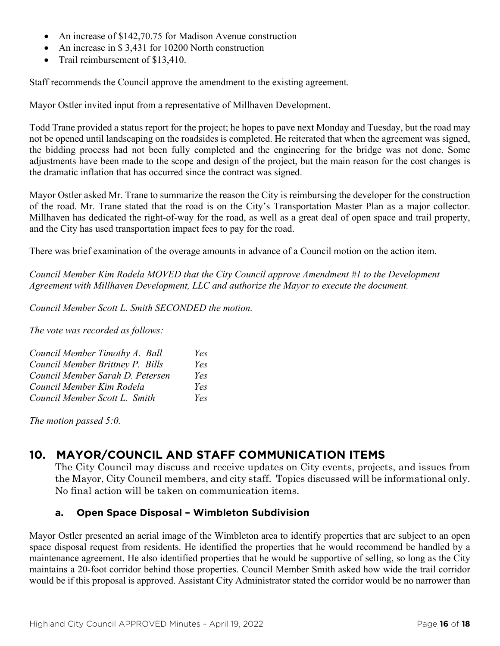- An increase of \$142,70.75 for Madison Avenue construction
- An increase in \$ 3,431 for 10200 North construction
- Trail reimbursement of \$13,410.

Staff recommends the Council approve the amendment to the existing agreement.

Mayor Ostler invited input from a representative of Millhaven Development.

Todd Trane provided a status report for the project; he hopes to pave next Monday and Tuesday, but the road may not be opened until landscaping on the roadsides is completed. He reiterated that when the agreement was signed, the bidding process had not been fully completed and the engineering for the bridge was not done. Some adjustments have been made to the scope and design of the project, but the main reason for the cost changes is the dramatic inflation that has occurred since the contract was signed.

Mayor Ostler asked Mr. Trane to summarize the reason the City is reimbursing the developer for the construction of the road. Mr. Trane stated that the road is on the City's Transportation Master Plan as a major collector. Millhaven has dedicated the right-of-way for the road, as well as a great deal of open space and trail property, and the City has used transportation impact fees to pay for the road.

There was brief examination of the overage amounts in advance of a Council motion on the action item.

*Council Member Kim Rodela MOVED that the City Council approve Amendment #1 to the Development Agreement with Millhaven Development, LLC and authorize the Mayor to execute the document.*

*Council Member Scott L. Smith SECONDED the motion.*

*The vote was recorded as follows:*

| Council Member Timothy A. Ball   | Yes |
|----------------------------------|-----|
| Council Member Brittney P. Bills | Yes |
| Council Member Sarah D. Petersen | Yes |
| Council Member Kim Rodela        | Yes |
| Council Member Scott L. Smith    | Yes |

*The motion passed 5:0.*

## **10. MAYOR/COUNCIL AND STAFF COMMUNICATION ITEMS**

The City Council may discuss and receive updates on City events, projects, and issues from the Mayor, City Council members, and city staff. Topics discussed will be informational only. No final action will be taken on communication items.

#### **a. Open Space Disposal – Wimbleton Subdivision**

Mayor Ostler presented an aerial image of the Wimbleton area to identify properties that are subject to an open space disposal request from residents. He identified the properties that he would recommend be handled by a maintenance agreement. He also identified properties that he would be supportive of selling, so long as the City maintains a 20-foot corridor behind those properties. Council Member Smith asked how wide the trail corridor would be if this proposal is approved. Assistant City Administrator stated the corridor would be no narrower than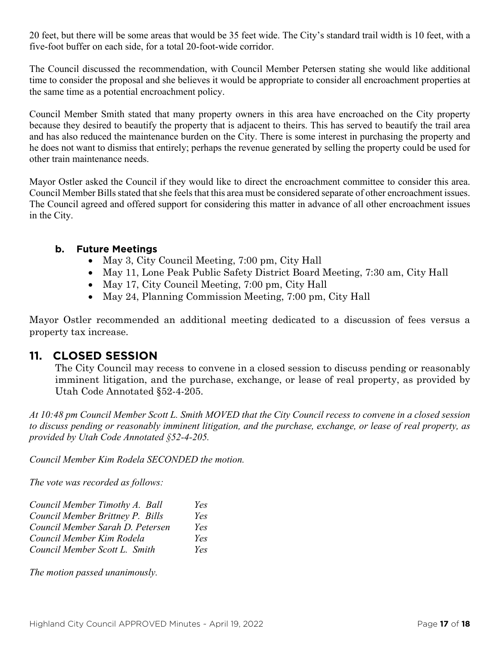20 feet, but there will be some areas that would be 35 feet wide. The City's standard trail width is 10 feet, with a five-foot buffer on each side, for a total 20-foot-wide corridor.

The Council discussed the recommendation, with Council Member Petersen stating she would like additional time to consider the proposal and she believes it would be appropriate to consider all encroachment properties at the same time as a potential encroachment policy.

Council Member Smith stated that many property owners in this area have encroached on the City property because they desired to beautify the property that is adjacent to theirs. This has served to beautify the trail area and has also reduced the maintenance burden on the City. There is some interest in purchasing the property and he does not want to dismiss that entirely; perhaps the revenue generated by selling the property could be used for other train maintenance needs.

Mayor Ostler asked the Council if they would like to direct the encroachment committee to consider this area. Council Member Bills stated that she feels that this area must be considered separate of other encroachment issues. The Council agreed and offered support for considering this matter in advance of all other encroachment issues in the City.

#### **b. Future Meetings**

- May 3, City Council Meeting, 7:00 pm, City Hall
- May 11, Lone Peak Public Safety District Board Meeting, 7:30 am, City Hall
- May 17, City Council Meeting, 7:00 pm, City Hall
- May 24, Planning Commission Meeting, 7:00 pm, City Hall

Mayor Ostler recommended an additional meeting dedicated to a discussion of fees versus a property tax increase.

## **11. CLOSED SESSION**

The City Council may recess to convene in a closed session to discuss pending or reasonably imminent litigation, and the purchase, exchange, or lease of real property, as provided by Utah Code Annotated §52-4-205.

*At 10:48 pm Council Member Scott L. Smith MOVED that the City Council recess to convene in a closed session to discuss pending or reasonably imminent litigation, and the purchase, exchange, or lease of real property, as provided by Utah Code Annotated §52-4-205.* 

*Council Member Kim Rodela SECONDED the motion.*

*The vote was recorded as follows:*

| Council Member Timothy A. Ball   | Yes |
|----------------------------------|-----|
| Council Member Brittney P. Bills | Yes |
| Council Member Sarah D. Petersen | Yes |
| Council Member Kim Rodela        | Yes |
| Council Member Scott L. Smith    | Yes |

*The motion passed unanimously.*